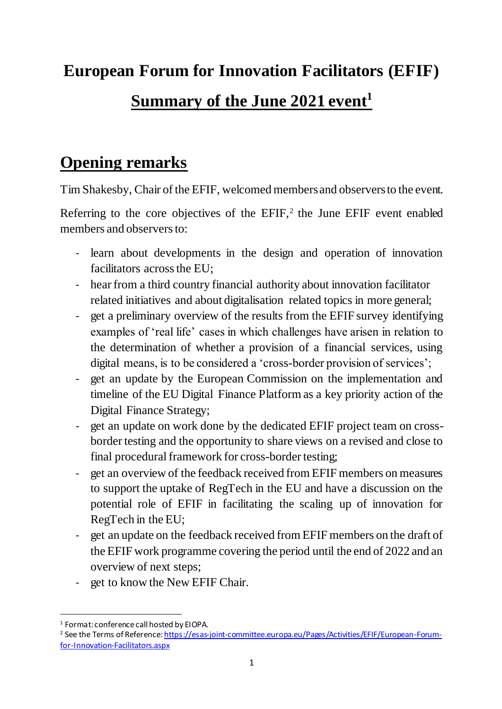# **European Forum for Innovation Facilitators (EFIF) Summary of the June 2021 event<sup>1</sup>**

#### **Opening remarks**

Tim Shakesby, Chair of the EFIF, welcomed members and observers to the event.

Referring to the core objectives of the  $EFIF$ ,<sup>2</sup> the June  $EFIF$  event enabled members and observers to:

- learn about developments in the design and operation of innovation facilitators across the EU;
- hear from a third country financial authority about innovation facilitator related initiatives and about digitalisation related topics in more general;
- get a preliminary overview of the results from the EFIF survey identifying examples of 'real life' cases in which challenges have arisen in relation to the determination of whether a provision of a financial services, using digital means, is to be considered a 'cross-border provision of services';
- get an update by the European Commission on the implementation and timeline of the EU Digital Finance Platform as a key priority action of the Digital Finance Strategy;
- get an update on work done by the dedicated EFIF project team on crossborder testing and the opportunity to share views on a revised and close to final procedural framework for cross-border testing;
- get an overview of the feedback received from EFIF members on measures to support the uptake of RegTech in the EU and have a discussion on the potential role of EFIF in facilitating the scaling up of innovation for RegTech in the EU;
- get an update on the feedback received from EFIF members on the draft of the EFIF work programme covering the period until the end of 2022 and an overview of next steps;
- get to know the New EFIF Chair.

<sup>-</sup><sup>1</sup> Format: conference call hosted by EIOPA.

<sup>&</sup>lt;sup>2</sup> See the Terms of Reference[: https://esas-joint-committee.europa.eu/Pages/Activities/EFIF/European-Forum](https://esas-joint-committee.europa.eu/Pages/Activities/EFIF/European-Forum-for-Innovation-Facilitators.aspx)[for-Innovation-Facilitators.aspx](https://esas-joint-committee.europa.eu/Pages/Activities/EFIF/European-Forum-for-Innovation-Facilitators.aspx)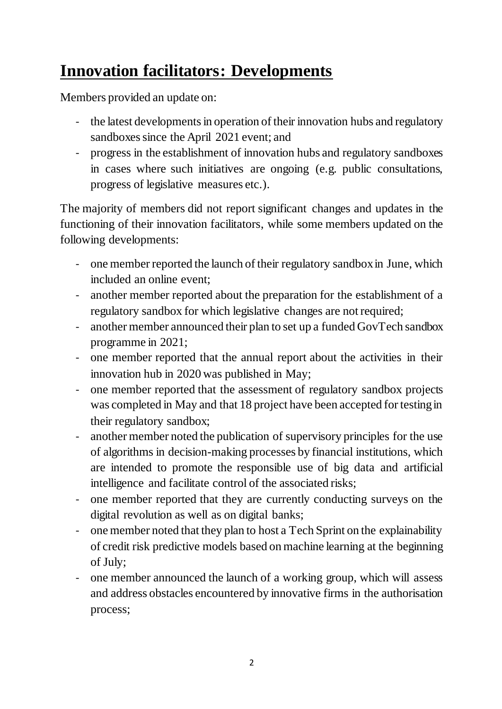## **Innovation facilitators: Developments**

Members provided an update on:

- the latest developments in operation of their innovation hubs and regulatory sandboxes since the April 2021 event; and
- progress in the establishment of innovation hubs and regulatory sandboxes in cases where such initiatives are ongoing (e.g. public consultations, progress of legislative measures etc.).

The majority of members did not report significant changes and updates in the functioning of their innovation facilitators, while some members updated on the following developments:

- one member reported the launch of their regulatory sandbox in June, which included an online event;
- another member reported about the preparation for the establishment of a regulatory sandbox for which legislative changes are not required;
- another member announced their plan to set up a funded GovTech sandbox programme in 2021;
- one member reported that the annual report about the activities in their innovation hub in 2020 was published in May;
- one member reported that the assessment of regulatory sandbox projects was completed in May and that 18 project have been accepted for testing in their regulatory sandbox;
- another member noted the publication of supervisory principles for the use of algorithms in decision-making processes by financial institutions, which are intended to promote the responsible use of big data and artificial intelligence and facilitate control of the associated risks;
- one member reported that they are currently conducting surveys on the digital revolution as well as on digital banks;
- one member noted that they plan to host a Tech Sprint on the explainability of credit risk predictive models based on machine learning at the beginning of July;
- one member announced the launch of a working group, which will assess and address obstacles encountered by innovative firms in the authorisation process;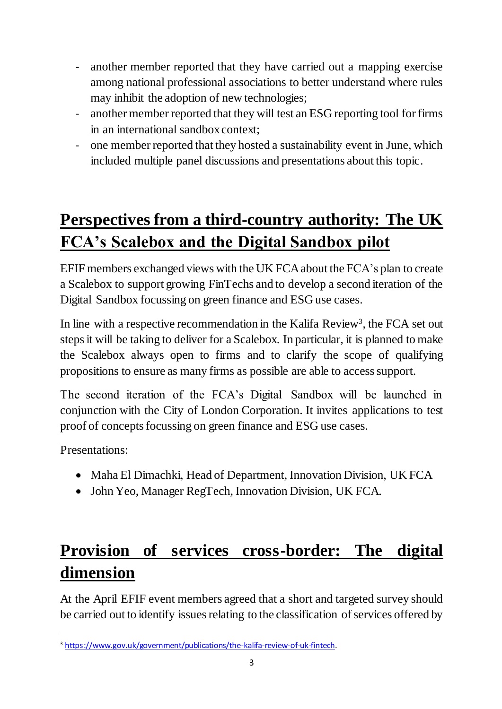- another member reported that they have carried out a mapping exercise among national professional associations to better understand where rules may inhibit the adoption of new technologies;
- another member reported that they will test an ESG reporting tool for firms in an international sandbox context;
- one member reported that they hosted a sustainability event in June, which included multiple panel discussions and presentations about this topic.

# **Perspectives from a third-country authority: The UK FCA's Scalebox and the Digital Sandbox pilot**

EFIF members exchanged views with the UK FCA about the FCA's plan to create a Scalebox to support growing FinTechs and to develop a second iteration of the Digital Sandbox focussing on green finance and ESG use cases.

In line with a respective recommendation in the Kalifa Review<sup>3</sup>, the FCA set out steps it will be taking to deliver for a Scalebox. In particular, it is planned to make the Scalebox always open to firms and to clarify the scope of qualifying propositions to ensure as many firms as possible are able to access support.

The second iteration of the FCA's Digital Sandbox will be launched in conjunction with the City of London Corporation. It invites applications to test proof of concepts focussing on green finance and ESG use cases.

Presentations:

- Maha El Dimachki, Head of Department, Innovation Division, UK FCA
- John Yeo, Manager RegTech, Innovation Division, UK FCA.

# **Provision of services cross-border: The digital dimension**

At the April EFIF event members agreed that a short and targeted survey should be carried out to identify issues relating to the classification of services offered by

<sup>1</sup> <sup>3</sup> <https://www.gov.uk/government/publications/the-kalifa-review-of-uk-fintech>.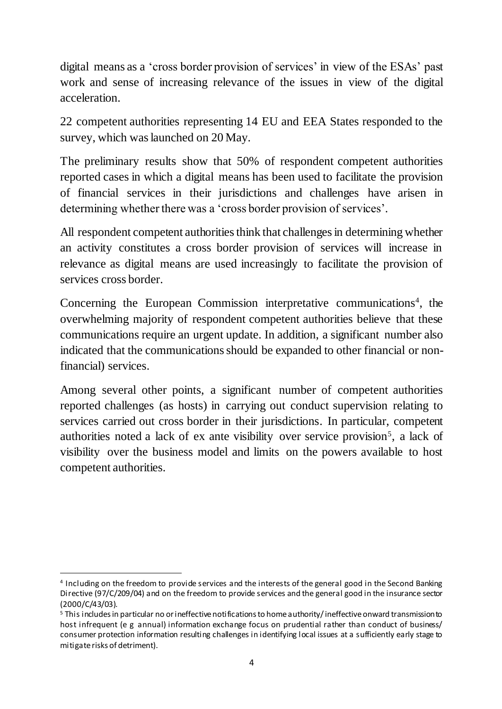digital means as a 'cross border provision of services' in view of the ESAs' past work and sense of increasing relevance of the issues in view of the digital acceleration.

22 competent authorities representing 14 EU and EEA States responded to the survey, which was launched on 20 May.

The preliminary results show that 50% of respondent competent authorities reported cases in which a digital means has been used to facilitate the provision of financial services in their jurisdictions and challenges have arisen in determining whether there was a 'cross border provision of services'.

All respondent competent authorities think that challenges in determining whether an activity constitutes a cross border provision of services will increase in relevance as digital means are used increasingly to facilitate the provision of services cross border.

Concerning the European Commission interpretative communications<sup>4</sup>, the overwhelming majority of respondent competent authorities believe that these communications require an urgent update. In addition, a significant number also indicated that the communications should be expanded to other financial or nonfinancial) services.

Among several other points, a significant number of competent authorities reported challenges (as hosts) in carrying out conduct supervision relating to services carried out cross border in their jurisdictions. In particular, competent authorities noted a lack of ex ante visibility over service provision<sup>5</sup>, a lack of visibility over the business model and limits on the powers available to host competent authorities.

1

<sup>4</sup> Including on the freedom to provide services and the interests of the general good in the Second Banking Directive (97/C/209/04) and on the freedom to provide services and the general good in the insurance sector (2000/C/43/03).

<sup>&</sup>lt;sup>5</sup> This includes in particular no or ineffective notifications to home authority/ineffective onward transmission to host infrequent (e g annual) information exchange focus on prudential rather than conduct of business/ consumer protection information resulting challenges in identifying local issues at a sufficiently early stage to mitigate risks of detriment).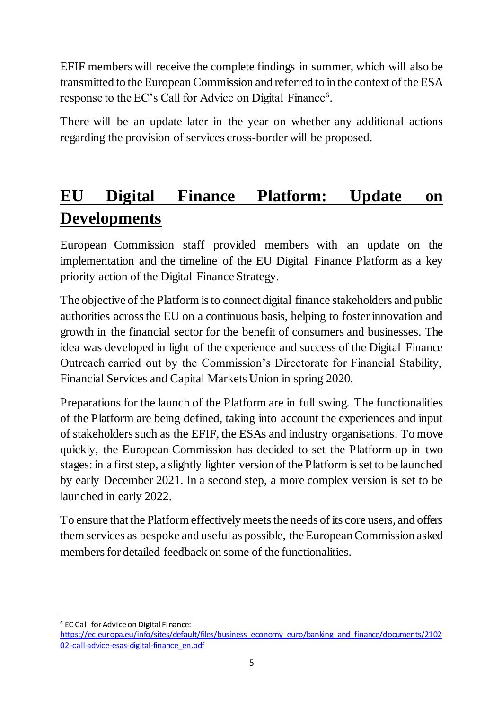EFIF members will receive the complete findings in summer, which will also be transmitted to the European Commission and referred to in the context of the ESA response to the EC's Call for Advice on Digital Finance<sup>6</sup>.

There will be an update later in the year on whether any additional actions regarding the provision of services cross-border will be proposed.

## **EU Digital Finance Platform: Update on Developments**

European Commission staff provided members with an update on the implementation and the timeline of the EU Digital Finance Platform as a key priority action of the Digital Finance Strategy.

The objective of the Platform is to connect digital finance stakeholders and public authorities across the EU on a continuous basis, helping to foster innovation and growth in the financial sector for the benefit of consumers and businesses. The idea was developed in light of the experience and success of the Digital Finance Outreach carried out by the Commission's Directorate for Financial Stability, Financial Services and Capital Markets Union in spring 2020.

Preparations for the launch of the Platform are in full swing. The functionalities of the Platform are being defined, taking into account the experiences and input of stakeholders such as the EFIF, the ESAs and industry organisations. To move quickly, the European Commission has decided to set the Platform up in two stages: in a first step, a slightly lighter version of the Platform is set to be launched by early December 2021. In a second step, a more complex version is set to be launched in early 2022.

To ensure that the Platform effectively meets the needs of its core users, and offers them services as bespoke and useful as possible, the European Commission asked members for detailed feedback on some of the functionalities.

-

<sup>6</sup> EC Call for Advice on Digital Finance:

[https://ec.europa.eu/info/sites/default/files/business\\_economy\\_euro/banking\\_and\\_finance/documents/2102](https://ec.europa.eu/info/sites/default/files/business_economy_euro/banking_and_finance/documents/210202-call-advice-esas-digital-finance_en.pdf) [02-call-advice-esas-digital-finance\\_en.pdf](https://ec.europa.eu/info/sites/default/files/business_economy_euro/banking_and_finance/documents/210202-call-advice-esas-digital-finance_en.pdf)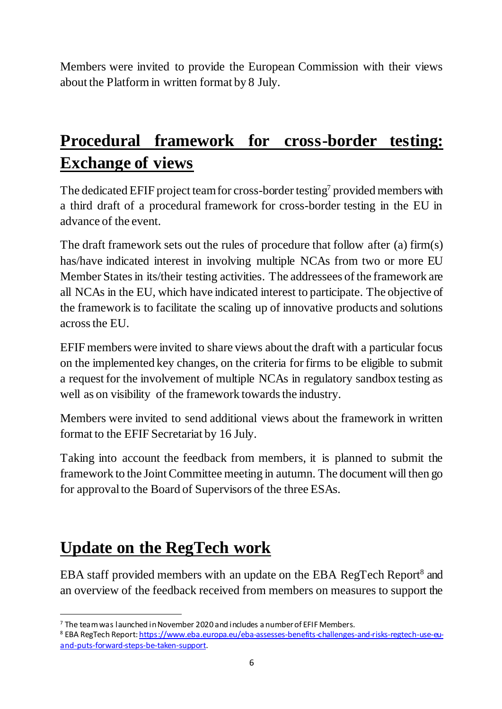Members were invited to provide the European Commission with their views about the Platform in written format by 8 July.

## **Procedural framework for cross-border testing: Exchange of views**

The dedicated EFIF project team for cross-border testing<sup>7</sup> provided members with a third draft of a procedural framework for cross-border testing in the EU in advance of the event.

The draft framework sets out the rules of procedure that follow after (a) firm(s) has/have indicated interest in involving multiple NCAs from two or more EU Member States in its/their testing activities. The addressees of the framework are all NCAs in the EU, which have indicated interest to participate. The objective of the framework is to facilitate the scaling up of innovative products and solutions across the EU.

EFIF members were invited to share views about the draft with a particular focus on the implemented key changes, on the criteria for firms to be eligible to submit a request for the involvement of multiple NCAs in regulatory sandbox testing as well as on visibility of the framework towards the industry.

Members were invited to send additional views about the framework in written format to the EFIF Secretariat by 16 July.

Taking into account the feedback from members, it is planned to submit the framework to the Joint Committee meeting in autumn. The document will then go for approval to the Board of Supervisors of the three ESAs.

#### **Update on the RegTech work**

-

EBA staff provided members with an update on the EBA RegTech Report<sup>8</sup> and an overview of the feedback received from members on measures to support the

 $7$  The team was launched in November 2020 and includes a number of EFIF Members.

<sup>8</sup> EBA RegTech Report[: https://www.eba.europa.eu/eba-assesses-benefits-challenges-and-risks-regtech-use-eu](https://www.eba.europa.eu/eba-assesses-benefits-challenges-and-risks-regtech-use-eu-and-puts-forward-steps-be-taken-support)[and-puts-forward-steps-be-taken-support](https://www.eba.europa.eu/eba-assesses-benefits-challenges-and-risks-regtech-use-eu-and-puts-forward-steps-be-taken-support).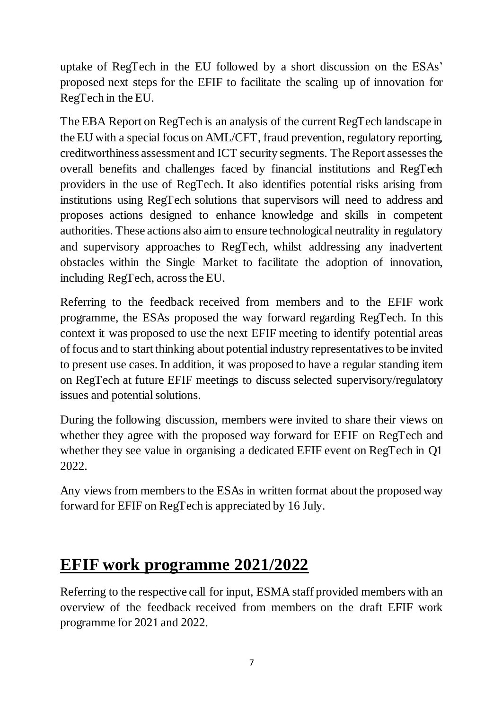uptake of RegTech in the EU followed by a short discussion on the ESAs' proposed next steps for the EFIF to facilitate the scaling up of innovation for RegTech in the EU.

The EBA Report on RegTech is an analysis of the current RegTech landscape in the EU with a special focus on AML/CFT, fraud prevention, regulatory reporting, creditworthiness assessment and ICT security segments. The Report assesses the overall benefits and challenges faced by financial institutions and RegTech providers in the use of RegTech. It also identifies potential risks arising from institutions using RegTech solutions that supervisors will need to address and proposes actions designed to enhance knowledge and skills in competent authorities. These actions also aim to ensure technological neutrality in regulatory and supervisory approaches to RegTech, whilst addressing any inadvertent obstacles within the Single Market to facilitate the adoption of innovation, including RegTech, across the EU.

Referring to the feedback received from members and to the EFIF work programme, the ESAs proposed the way forward regarding RegTech. In this context it was proposed to use the next EFIF meeting to identify potential areas of focus and to start thinking about potential industry representatives to be invited to present use cases. In addition, it was proposed to have a regular standing item on RegTech at future EFIF meetings to discuss selected supervisory/regulatory issues and potential solutions.

During the following discussion, members were invited to share their views on whether they agree with the proposed way forward for EFIF on RegTech and whether they see value in organising a dedicated EFIF event on RegTech in Q1 2022.

Any views from members to the ESAs in written format about the proposed way forward for EFIF on RegTech is appreciated by 16 July.

#### **EFIF work programme 2021/2022**

Referring to the respective call for input, ESMA staff provided members with an overview of the feedback received from members on the draft EFIF work programme for 2021 and 2022.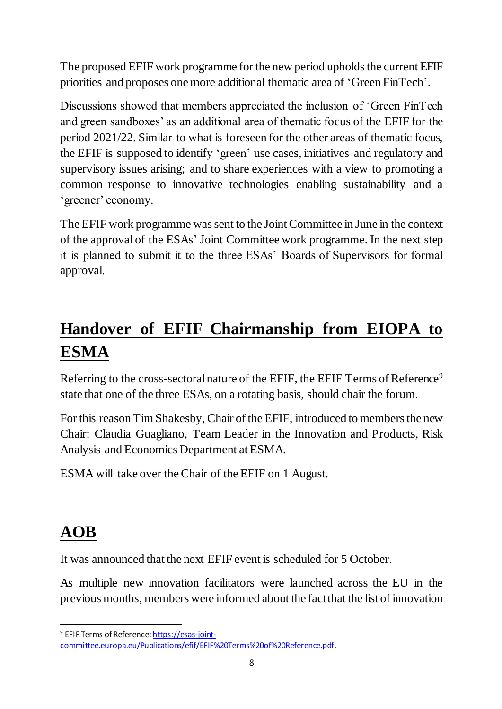The proposed EFIF work programme for the new period upholds the current EFIF priorities and proposes one more additional thematic area of 'Green FinTech'.

Discussions showed that members appreciated the inclusion of 'Green FinTech and green sandboxes' as an additional area of thematic focus of the EFIF for the period 2021/22. Similar to what is foreseen for the other areas of thematic focus, the EFIF is supposed to identify 'green' use cases, initiatives and regulatory and supervisory issues arising; and to share experiences with a view to promoting a common response to innovative technologies enabling sustainability and a 'greener' economy.

The EFIF work programme was sent to the Joint Committee in June in the context of the approval of the ESAs' Joint Committee work programme. In the next step it is planned to submit it to the three ESAs' Boards of Supervisors for formal approval.

# **Handover of EFIF Chairmanship from EIOPA to ESMA**

Referring to the cross-sectoral nature of the EFIF, the EFIF Terms of Reference<sup>9</sup> state that one of the three ESAs, on a rotating basis, should chair the forum.

For this reason Tim Shakesby, Chair of the EFIF, introduced to members the new Chair: Claudia Guagliano, Team Leader in the Innovation and Products, Risk Analysis and Economics Department at ESMA.

ESMA will take over the Chair of the EFIF on 1 August.

# **AOB**

-

It was announced that the next EFIF event is scheduled for 5 October.

As multiple new innovation facilitators were launched across the EU in the previous months, members were informed about the fact that the list of innovation

<sup>&</sup>lt;sup>9</sup> EFIF Terms of Referenc[e: https://esas-joint-](https://esas-joint-committee.europa.eu/Publications/efif/EFIF%20Terms%20of%20Reference.pdf)

[committee.europa.eu/Publications/efif/EFIF%20Terms%20of%20Reference.pdf](https://esas-joint-committee.europa.eu/Publications/efif/EFIF%20Terms%20of%20Reference.pdf).